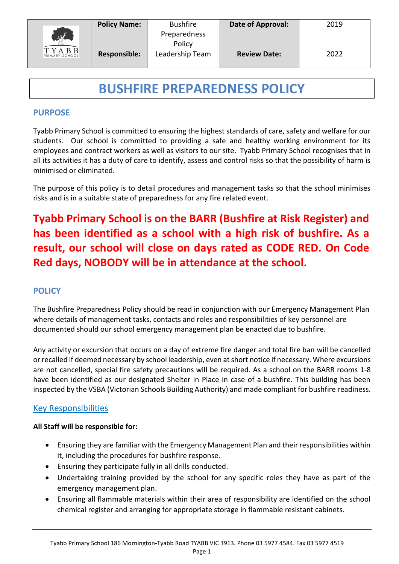| <b>Policy Name:</b> | <b>Bushfire</b><br>Preparedness<br>Policy | <b>Date of Approval:</b> | 2019 |
|---------------------|-------------------------------------------|--------------------------|------|
| Responsible:        | Leadership Team                           | <b>Review Date:</b>      | 2022 |

# **BUSHFIRE PREPAREDNESS POLICY**

#### **PURPOSE**

Tyabb Primary School is committed to ensuring the highest standards of care, safety and welfare for our students. Our school is committed to providing a safe and healthy working environment for its employees and contract workers as well as visitors to our site. Tyabb Primary School recognises that in all its activities it has a duty of care to identify, assess and control risks so that the possibility of harm is minimised or eliminated.

The purpose of this policy is to detail procedures and management tasks so that the school minimises risks and is in a suitable state of preparedness for any fire related event.

## **Tyabb Primary School is on the BARR (Bushfire at Risk Register) and has been identified as a school with a high risk of bushfire. As a result, our school will close on days rated as CODE RED. On Code Red days, NOBODY will be in attendance at the school.**

#### **POLICY**

The Bushfire Preparedness Policy should be read in conjunction with our Emergency Management Plan where details of management tasks, contacts and roles and responsibilities of key personnel are documented should our school emergency management plan be enacted due to bushfire.

Any activity or excursion that occurs on a day of extreme fire danger and total fire ban will be cancelled or recalled if deemed necessary by school leadership, even at short notice if necessary. Where excursions are not cancelled, special fire safety precautions will be required. As a school on the BARR rooms 1-8 have been identified as our designated Shelter in Place in case of a bushfire. This building has been inspected by the VSBA (Victorian Schools Building Authority) and made compliant for bushfire readiness.

#### Key Responsibilities

#### **All Staff will be responsible for:**

- Ensuring they are familiar with the Emergency Management Plan and their responsibilities within it, including the procedures for bushfire response.
- Ensuring they participate fully in all drills conducted.
- Undertaking training provided by the school for any specific roles they have as part of the emergency management plan.
- Ensuring all flammable materials within their area of responsibility are identified on the school chemical register and arranging for appropriate storage in flammable resistant cabinets.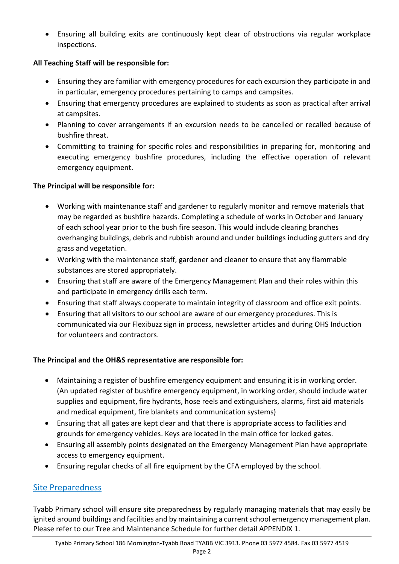• Ensuring all building exits are continuously kept clear of obstructions via regular workplace inspections.

#### **All Teaching Staff will be responsible for:**

- Ensuring they are familiar with emergency procedures for each excursion they participate in and in particular, emergency procedures pertaining to camps and campsites.
- Ensuring that emergency procedures are explained to students as soon as practical after arrival at campsites.
- Planning to cover arrangements if an excursion needs to be cancelled or recalled because of bushfire threat.
- Committing to training for specific roles and responsibilities in preparing for, monitoring and executing emergency bushfire procedures, including the effective operation of relevant emergency equipment.

#### **The Principal will be responsible for:**

- Working with maintenance staff and gardener to regularly monitor and remove materials that may be regarded as bushfire hazards. Completing a schedule of works in October and January of each school year prior to the bush fire season. This would include clearing branches overhanging buildings, debris and rubbish around and under buildings including gutters and dry grass and vegetation.
- Working with the maintenance staff, gardener and cleaner to ensure that any flammable substances are stored appropriately.
- Ensuring that staff are aware of the Emergency Management Plan and their roles within this and participate in emergency drills each term.
- Ensuring that staff always cooperate to maintain integrity of classroom and office exit points.
- Ensuring that all visitors to our school are aware of our emergency procedures. This is communicated via our Flexibuzz sign in process, newsletter articles and during OHS Induction for volunteers and contractors.

#### **The Principal and the OH&S representative are responsible for:**

- Maintaining a register of bushfire emergency equipment and ensuring it is in working order. (An updated register of bushfire emergency equipment, in working order, should include water supplies and equipment, fire hydrants, hose reels and extinguishers, alarms, first aid materials and medical equipment, fire blankets and communication systems)
- Ensuring that all gates are kept clear and that there is appropriate access to facilities and grounds for emergency vehicles. Keys are located in the main office for locked gates.
- Ensuring all assembly points designated on the Emergency Management Plan have appropriate access to emergency equipment.
- Ensuring regular checks of all fire equipment by the CFA employed by the school.

#### Site Preparedness

Tyabb Primary school will ensure site preparedness by regularly managing materials that may easily be ignited around buildings and facilities and by maintaining a current school emergency management plan. Please refer to our Tree and Maintenance Schedule for further detail APPENDIX 1.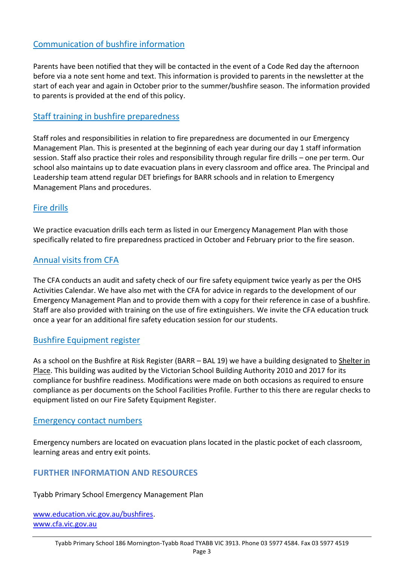#### Communication of bushfire information

Parents have been notified that they will be contacted in the event of a Code Red day the afternoon before via a note sent home and text. This information is provided to parents in the newsletter at the start of each year and again in October prior to the summer/bushfire season. The information provided to parents is provided at the end of this policy.

#### Staff training in bushfire preparedness

Staff roles and responsibilities in relation to fire preparedness are documented in our Emergency Management Plan. This is presented at the beginning of each year during our day 1 staff information session. Staff also practice their roles and responsibility through regular fire drills – one per term. Our school also maintains up to date evacuation plans in every classroom and office area. The Principal and Leadership team attend regular DET briefings for BARR schools and in relation to Emergency Management Plans and procedures.

#### Fire drills

We practice evacuation drills each term as listed in our Emergency Management Plan with those specifically related to fire preparedness practiced in October and February prior to the fire season.

#### Annual visits from CFA

The CFA conducts an audit and safety check of our fire safety equipment twice yearly as per the OHS Activities Calendar. We have also met with the CFA for advice in regards to the development of our Emergency Management Plan and to provide them with a copy for their reference in case of a bushfire. Staff are also provided with training on the use of fire extinguishers. We invite the CFA education truck once a year for an additional fire safety education session for our students.

#### Bushfire Equipment register

As a school on the Bushfire at Risk Register (BARR – BAL 19) we have a building designated to Shelter in Place. This building was audited by the Victorian School Building Authority 2010 and 2017 for its compliance for bushfire readiness. Modifications were made on both occasions as required to ensure compliance as per documents on the School Facilities Profile. Further to this there are regular checks to equipment listed on our Fire Safety Equipment Register.

#### Emergency contact numbers

Emergency numbers are located on evacuation plans located in the plastic pocket of each classroom, learning areas and entry exit points.

#### **FURTHER INFORMATION AND RESOURCES**

Tyabb Primary School Emergency Management Plan

[www.education.vic.gov.au/bushfires.](http://www.education.vic.gov.au/bushfires) [www.cfa.vic.gov.au](http://www.cfa.vic.gov.au/)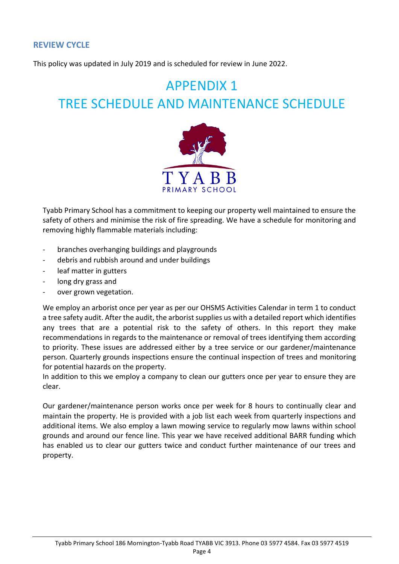This policy was updated in July 2019 and is scheduled for review in June 2022.

# APPENDIX 1 TREE SCHEDULE AND MAINTENANCE SCHEDULE



Tyabb Primary School has a commitment to keeping our property well maintained to ensure the safety of others and minimise the risk of fire spreading. We have a schedule for monitoring and removing highly flammable materials including:

- branches overhanging buildings and playgrounds
- debris and rubbish around and under buildings
- leaf matter in gutters
- long dry grass and
- over grown vegetation.

We employ an arborist once per year as per our OHSMS Activities Calendar in term 1 to conduct a tree safety audit. After the audit, the arborist supplies us with a detailed report which identifies any trees that are a potential risk to the safety of others. In this report they make recommendations in regards to the maintenance or removal of trees identifying them according to priority. These issues are addressed either by a tree service or our gardener/maintenance person. Quarterly grounds inspections ensure the continual inspection of trees and monitoring for potential hazards on the property.

In addition to this we employ a company to clean our gutters once per year to ensure they are clear.

Our gardener/maintenance person works once per week for 8 hours to continually clear and maintain the property. He is provided with a job list each week from quarterly inspections and additional items. We also employ a lawn mowing service to regularly mow lawns within school grounds and around our fence line. This year we have received additional BARR funding which has enabled us to clear our gutters twice and conduct further maintenance of our trees and property.